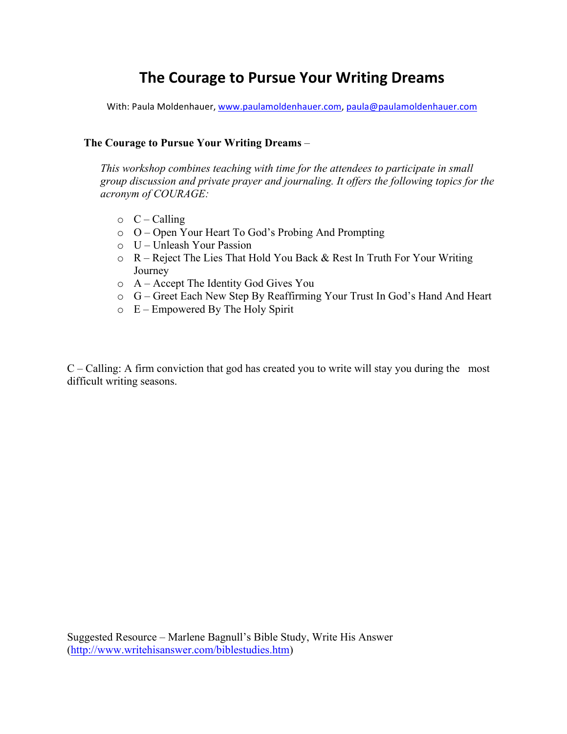# **The Courage to Pursue Your Writing Dreams**

With: Paula Moldenhauer, www.paulamoldenhauer.com, paula@paulamoldenhauer.com

#### **The Courage to Pursue Your Writing Dreams** –

*This workshop combines teaching with time for the attendees to participate in small group discussion and private prayer and journaling. It offers the following topics for the acronym of COURAGE:*

- $\circ$  C Calling
- o O Open Your Heart To God's Probing And Prompting
- o U Unleash Your Passion
- $\circ$  R Reject The Lies That Hold You Back & Rest In Truth For Your Writing Journey
- o A Accept The Identity God Gives You
- o G Greet Each New Step By Reaffirming Your Trust In God's Hand And Heart
- $\circ$  E Empowered By The Holy Spirit

C – Calling: A firm conviction that god has created you to write will stay you during the most difficult writing seasons.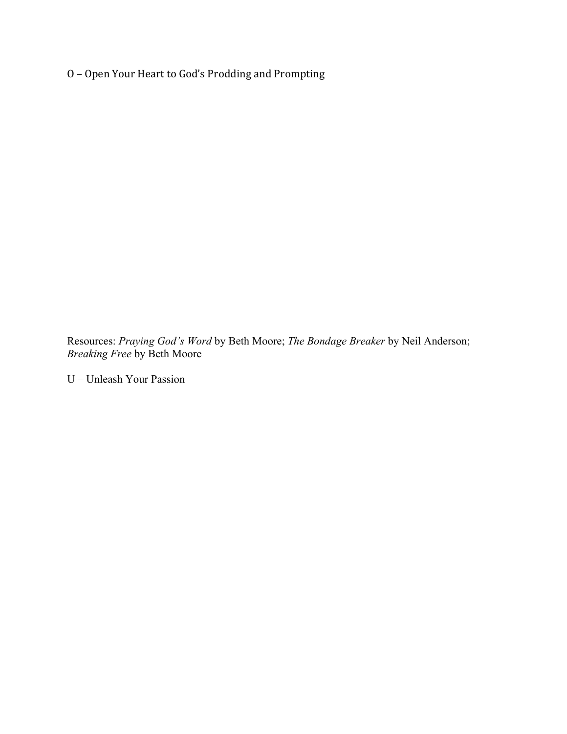O - Open Your Heart to God's Prodding and Prompting

Resources: *Praying God's Word* by Beth Moore; *The Bondage Breaker* by Neil Anderson; *Breaking Free* by Beth Moore

U – Unleash Your Passion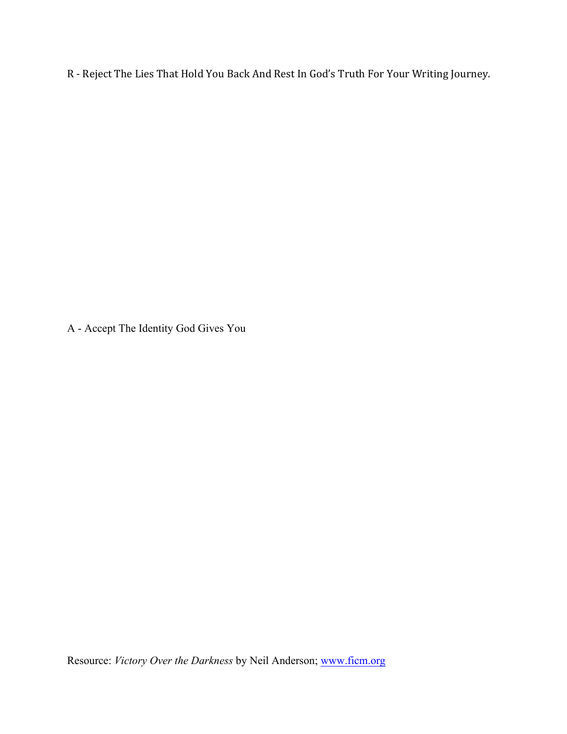R - Reject The Lies That Hold You Back And Rest In God's Truth For Your Writing Journey.

A - Accept The Identity God Gives You

Resource: *Victory Over the Darkness* by Neil Anderson; www.ficm.org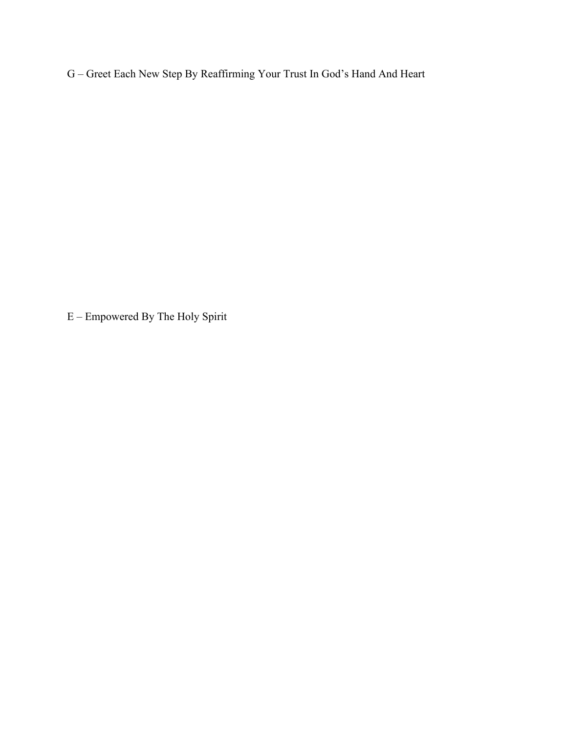G – Greet Each New Step By Reaffirming Your Trust In God's Hand And Heart

E – Empowered By The Holy Spirit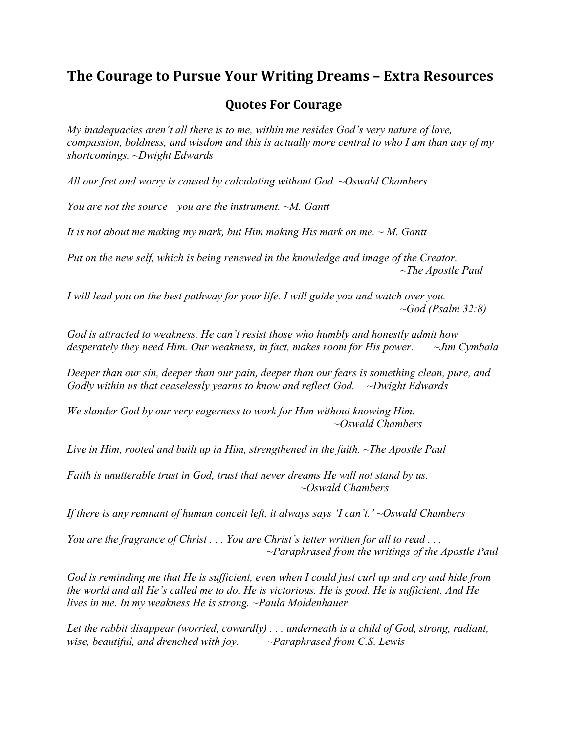## **The Courage to Pursue Your Writing Dreams - Extra Resources**

### **Quotes For Courage**

*My inadequacies aren't all there is to me, within me resides God's very nature of love, compassion, boldness, and wisdom and this is actually more central to who I am than any of my shortcomings. ~Dwight Edwards*

*All our fret and worry is caused by calculating without God. ~Oswald Chambers*

*You are not the source—you are the instrument. ~M. Gantt*

*It is not about me making my mark, but Him making His mark on me. ~ M. Gantt*

*Put on the new self, which is being renewed in the knowledge and image of the Creator. ~The Apostle Paul*

*I will lead you on the best pathway for your life. I will guide you and watch over you. ~God (Psalm 32:8)*

*God is attracted to weakness. He can't resist those who humbly and honestly admit how desperately they need Him. Our weakness, in fact, makes room for His power. ~Jim Cymbala*

*Deeper than our sin, deeper than our pain, deeper than our fears is something clean, pure, and Godly within us that ceaselessly yearns to know and reflect God. ~Dwight Edwards*

*We slander God by our very eagerness to work for Him without knowing Him. ~Oswald Chambers*

*Live in Him, rooted and built up in Him, strengthened in the faith. ~The Apostle Paul*

*Faith is unutterable trust in God, trust that never dreams He will not stand by us. ~Oswald Chambers*

*If there is any remnant of human conceit left, it always says 'I can't.' ~Oswald Chambers*

*You are the fragrance of Christ . . . You are Christ's letter written for all to read . . . ~Paraphrased from the writings of the Apostle Paul*

*God is reminding me that He is sufficient, even when I could just curl up and cry and hide from the world and all He's called me to do. He is victorious. He is good. He is sufficient. And He lives in me. In my weakness He is strong. ~Paula Moldenhauer*

*Let the rabbit disappear (worried, cowardly) . . . underneath is a child of God, strong, radiant, wise, beautiful, and drenched with joy. ~Paraphrased from C.S. Lewis*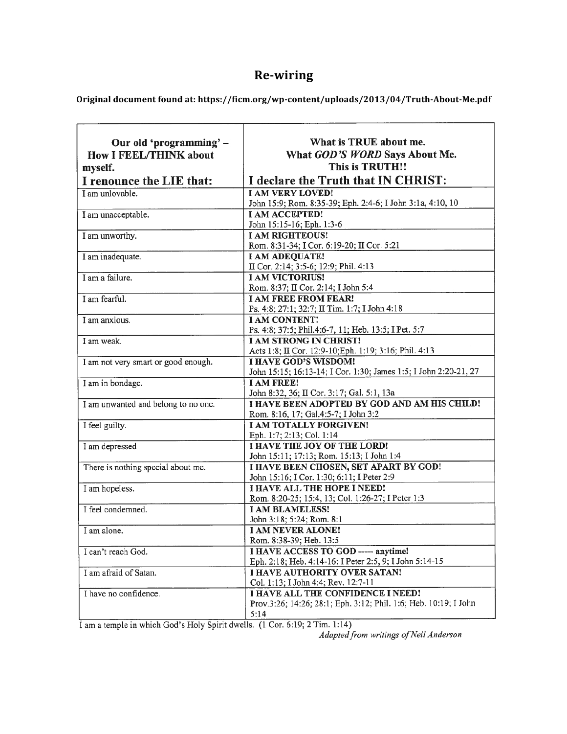## **Re-wiring**

Original document found at: https://ficm.org/wp-content/uploads/2013/04/Truth-About-Me.pdf

| Our old 'programming' -                                                                                                                   | What is TRUE about me.                                                                                |
|-------------------------------------------------------------------------------------------------------------------------------------------|-------------------------------------------------------------------------------------------------------|
| <b>How I FEEL/THINK about</b>                                                                                                             | What GOD'S WORD Says About Me.                                                                        |
| myself.                                                                                                                                   | This is TRUTH!!                                                                                       |
| I renounce the LIE that:                                                                                                                  | I declare the Truth that IN CHRIST:                                                                   |
| I am unlovable.                                                                                                                           | <b>I AM VERY LOVED!</b>                                                                               |
|                                                                                                                                           | John 15:9; Rom. 8:35-39; Eph. 2:4-6; I John 3:1a, 4:10, 10                                            |
| I am unacceptable.                                                                                                                        | I AM ACCEPTED!                                                                                        |
|                                                                                                                                           | John 15:15-16; Eph. 1:3-6                                                                             |
| I am unworthy.                                                                                                                            | <b>I AM RIGHTEOUS!</b>                                                                                |
|                                                                                                                                           | Rom. 8:31-34; I Cor. 6:19-20; II Cor. 5:21                                                            |
| I am inadequate.                                                                                                                          | <b>I AM ADEQUATE!</b>                                                                                 |
|                                                                                                                                           | II Cor. 2:14; 3:5-6; 12:9; Phil. 4:13                                                                 |
| I am a failure.                                                                                                                           | <b>I AM VICTORIUS!</b>                                                                                |
|                                                                                                                                           | Rom. 8:37; II Cor. 2:14; I John 5:4                                                                   |
| I am fearful.                                                                                                                             | <b>I AM FREE FROM FEAR!</b>                                                                           |
|                                                                                                                                           | Ps. 4:8; 27:1; 32:7; II Tim. 1:7; I John 4:18                                                         |
| I am anxious.                                                                                                                             | <b>I AM CONTENT!</b>                                                                                  |
|                                                                                                                                           | Ps. 4:8; 37:5; Phil.4:6-7, 11; Heb. 13:5; I Pet. 5:7                                                  |
| I am weak.                                                                                                                                | <b>I AM STRONG IN CHRIST!</b>                                                                         |
|                                                                                                                                           | Acts 1:8; II Cor. 12:9-10; Eph. 1:19; 3:16; Phil. 4:13                                                |
| I am not very smart or good enough.                                                                                                       | <b>I HAVE GOD'S WISDOM!</b>                                                                           |
|                                                                                                                                           | John 15:15; 16:13-14; I Cor. 1:30; James 1:5; I John 2:20-21, 27                                      |
| I am in bondage.                                                                                                                          | <b>I AM FREE!</b>                                                                                     |
|                                                                                                                                           | John 8:32, 36; II Cor. 3:17; Gal. 5:1, 13a                                                            |
| I am unwanted and belong to no one.                                                                                                       | I HAVE BEEN ADOPTED BY GOD AND AM HIS CHILD!                                                          |
|                                                                                                                                           | Rom. 8:16, 17; Gal.4:5-7; I John 3:2                                                                  |
| I feel guilty.                                                                                                                            | I AM TOTALLY FORGIVEN!                                                                                |
|                                                                                                                                           | Eph. 1:7; 2:13; Col. 1:14                                                                             |
| I am depressed                                                                                                                            | <b>I HAVE THE JOY OF THE LORD!</b>                                                                    |
|                                                                                                                                           | John 15:11; 17:13; Rom. 15:13; I John 1:4                                                             |
| There is nothing special about me.                                                                                                        | I HAVE BEEN CHOSEN, SET APART BY GOD!                                                                 |
|                                                                                                                                           | John 15:16; I Cor. 1:30; 6:11; I Peter 2:9                                                            |
| I am hopeless.                                                                                                                            | <b>I HAVE ALL THE HOPE I NEED!</b>                                                                    |
|                                                                                                                                           | Rom. 8:20-25; 15:4, 13; Col. 1:26-27; I Peter 1:3                                                     |
| I feel condemned.                                                                                                                         | <b>I AM BLAMELESS!</b>                                                                                |
|                                                                                                                                           | John 3:18; 5:24; Rom. 8:1                                                                             |
| I am alone.                                                                                                                               | <b>I AM NEVER ALONE!</b>                                                                              |
|                                                                                                                                           | Rom. 8:38-39; Heb. 13:5                                                                               |
| I can't reach God.                                                                                                                        | I HAVE ACCESS TO GOD ---- anytime!                                                                    |
|                                                                                                                                           | Eph. 2:18; Heb. 4:14-16: I Peter 2:5, 9; I John 5:14-15                                               |
| I am afraid of Satan.                                                                                                                     | I HAVE AUTHORITY OVER SATAN!                                                                          |
|                                                                                                                                           | Col. 1:13; I John 4:4; Rev. 12:7-11                                                                   |
| I have no confidence.                                                                                                                     | I HAVE ALL THE CONFIDENCE I NEED!<br>Prov.3:26; 14:26; 28:1; Eph. 3:12; Phil. 1:6; Heb. 10:19; I John |
|                                                                                                                                           | 5:14                                                                                                  |
| $1 - \frac{1}{2}$ , $1 - \frac{1}{2}$ , $1 - \frac{1}{2}$ , $1 - \frac{1}{2}$ , $1 - \frac{1}{2}$ , $1 - \frac{1}{2}$ , $1 - \frac{1}{2}$ | $(1 \text{ C}_{22} \text{ C}_{11} \text{ C}_{22} \text{ T}_{122}^{\text{t}} \text{ 1.14})$            |

I am a temple in which God's Holy Spirit dwells. (1 Cor. 6:19; 2 Tim. 1:14)

Adapted from writings of Neil Anderson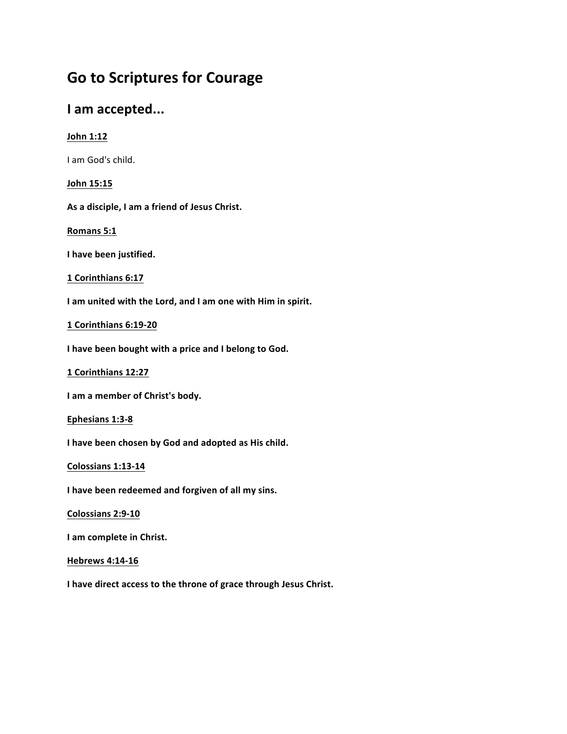# **Go to Scriptures for Courage**

### **I** am accepted...

**John 1:12** 

I am God's child.

**John 15:15** 

As a disciple, I am a friend of Jesus Christ.

**Romans 5:1** 

**I** have been justified.

**1 Corinthians 6:17** 

I am united with the Lord, and I am one with Him in spirit.

**1 Corinthians 6:19-20**

I have been bought with a price and I belong to God.

**1 Corinthians 12:27**

**I** am a member of Christ's body.

**Ephesians 1:3-8**

I have been chosen by God and adopted as His child.

**Colossians 1:13-14**

**I** have been redeemed and forgiven of all my sins.

**Colossians 2:9-10**

**I** am complete in Christ.

**Hebrews 4:14-16**

**I have direct access to the throne of grace through Jesus Christ.**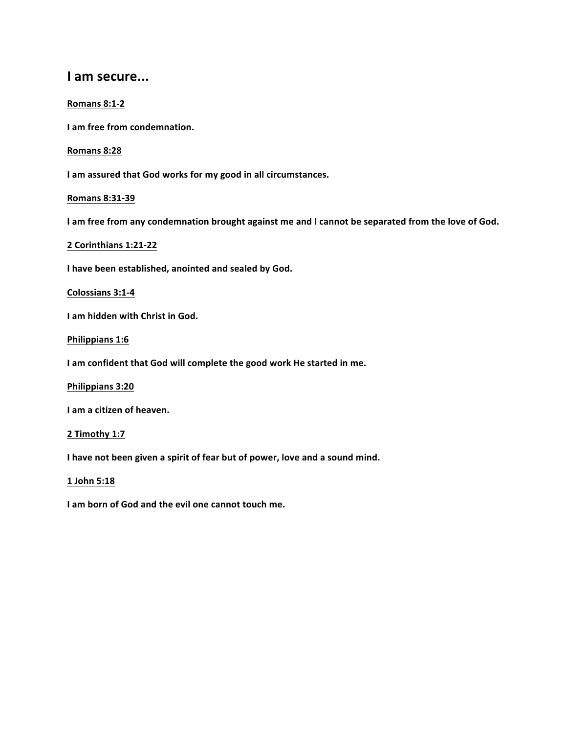### **l** am secure...

#### **Romans 8:1-2**

**I** am free from condemnation.

#### **Romans 8:28**

**I** am assured that God works for my good in all circumstances.

#### **Romans 8:31-39**

I am free from any condemnation brought against me and I cannot be separated from the love of God.

**2 Corinthians 1:21-22**

**I** have been established, anointed and sealed by God.

**Colossians 3:1-4**

**I am hidden with Christ in God.** 

**Philippians 1:6** 

**I** am confident that God will complete the good work He started in me.

**Philippians 3:20**

**I am a citizen of heaven.**

#### **2 Timothy 1:7**

I have not been given a spirit of fear but of power, love and a sound mind.

**1 John 5:18**

I am born of God and the evil one cannot touch me.